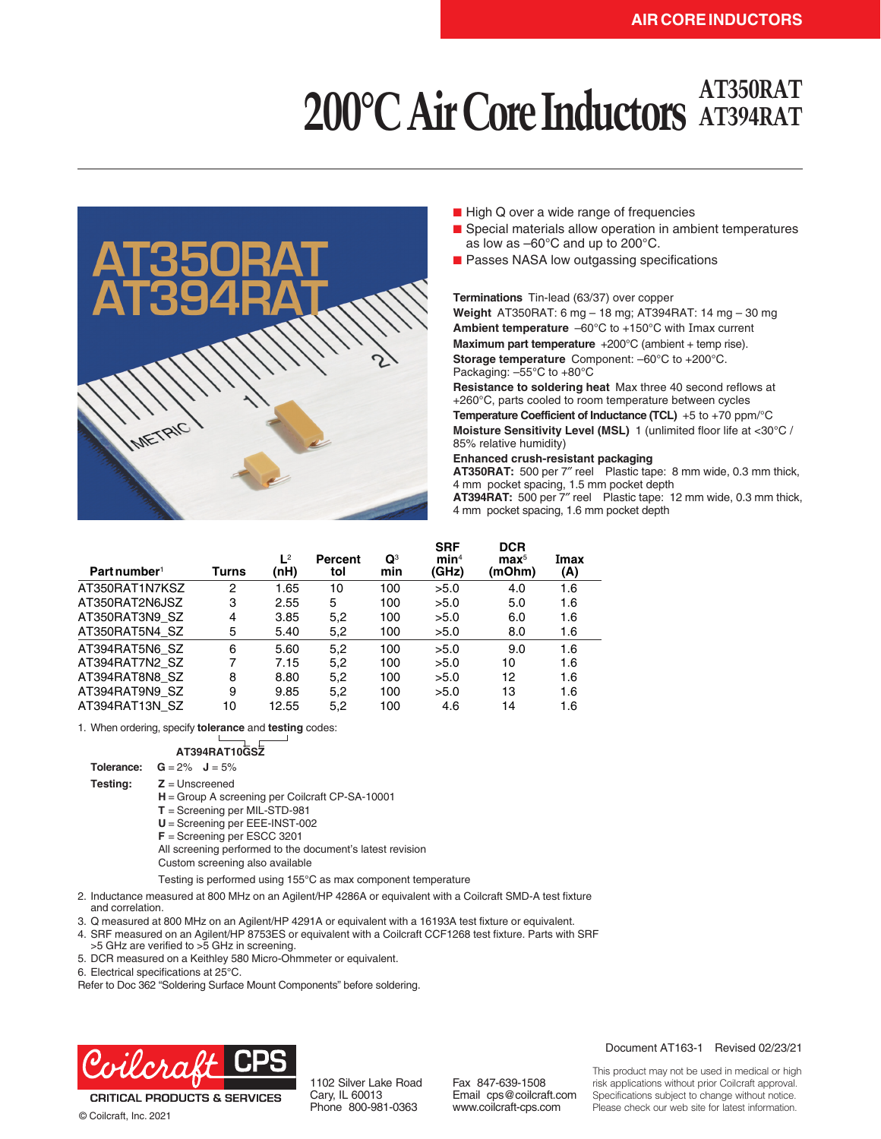# **AT350RAT 200°C Air Core Inductors AT394RAT**



- High Q over a wide range of frequencies
- Special materials allow operation in ambient temperatures as low as –60°C and up to 200°C.
- Passes NASA low outgassing specifications

#### **Terminations** Tin-lead (63/37) over copper

**Weight** AT350RAT: 6 mg – 18 mg; AT394RAT: 14 mg – 30 mg **Ambient temperature** –60°C to +150°C with Imax current **Maximum part temperature** +200°C (ambient + temp rise). **Storage temperature** Component: –60°C to +200°C. Packaging: –55°C to +80°C

**Resistance to soldering heat** Max three 40 second reflows at +260°C, parts cooled to room temperature between cycles **Temperature Coefficient of Inductance (TCL)** +5 to +70 ppm/°C **Moisture Sensitivity Level (MSL)** 1 (unlimited floor life at <30°C / 85% relative humidity)

#### **Enhanced crush-resistant packaging**

**AT350RAT:** 500 per 7″ reel Plastic tape: 8 mm wide, 0.3 mm thick, 4 mm pocket spacing, 1.5 mm pocket depth **AT394RAT:** 500 per 7″ reel Plastic tape: 12 mm wide, 0.3 mm thick, 4 mm pocket spacing, 1.6 mm pocket depth

| Part number <sup>1</sup> | Turns          | $L^2$<br>(nH) | Percent<br>tol | $\mathbf{Q}^3$<br>min | <b>SRF</b><br>min <sup>4</sup><br>(GHz) | <b>DCR</b><br>$\mathbf{max}^5$<br>(mOhm) | Imax<br>(A) |
|--------------------------|----------------|---------------|----------------|-----------------------|-----------------------------------------|------------------------------------------|-------------|
| AT350RAT1N7KSZ           | 2              | 1.65          | 10             | 100                   | >5.0                                    | 4.0                                      | 1.6         |
| AT350RAT2N6JSZ           | 3              | 2.55          | 5              | 100                   | >5.0                                    | 5.0                                      | 1.6         |
| AT350RAT3N9 SZ           | $\overline{4}$ | 3.85          | 5,2            | 100                   | >5.0                                    | 6.0                                      | 1.6         |
| AT350RAT5N4 SZ           | 5              | 5.40          | 5,2            | 100                   | >5.0                                    | 8.0                                      | 1.6         |
| AT394RAT5N6 SZ           | 6              | 5.60          | 5,2            | 100                   | >5.0                                    | 9.0                                      | 1.6         |
| AT394RAT7N2 SZ           | 7              | 7.15          | 5,2            | 100                   | >5.0                                    | 10                                       | 1.6         |
| AT394RAT8N8 SZ           | 8              | 8.80          | 5,2            | 100                   | >5.0                                    | 12                                       | 1.6         |
| AT394RAT9N9 SZ           | 9              | 9.85          | 5,2            | 100                   | >5.0                                    | 13                                       | 1.6         |
| AT394RAT13N SZ           | 10             | 12.55         | 5.2            | 100                   | 4.6                                     | 14                                       | 1.6         |

1. When ordering, specify **tolerance** and **testing** codes:

### **AT394RAT10GSZ**

**Tolerance:**  $G = 2\%$   $J = 5\%$ 

**Testing: Z** = Unscreened

**H** = Group A screening per Coilcraft CP-SA-10001

**T** = Screening per MIL-STD-981

**U** = Screening per EEE-INST-002

**F** = Screening per ESCC 3201

All screening performed to the document's latest revision

Custom screening also available

Testing is performed using 155°C as max component temperature

2. Inductance measured at 800 MHz on an Agilent/HP 4286A or equivalent with a Coilcraft SMD-A test fixture and correlation.

3. Q measured at 800 MHz on an Agilent/HP 4291A or equivalent with a 16193A test fixture or equivalent.

4. SRF measured on an Agilent/HP 8753ES or equivalent with a Coilcraft CCF1268 test fixture. Parts with SRF >5 GHz are verified to >5 GHz in screening.

5. DCR measured on a Keithley 580 Micro-Ohmmeter or equivalent.

6. Electrical specifications at 25°C.

Refer to Doc 362 "Soldering Surface Mount Components" before soldering.



**CRITICAL PRODUCTS & SERVICES** © Coilcraft, Inc. 2021

1102 Silver Lake Road Cary, IL 60013 Phone 800-981-0363

Fax 847-639-1508 Email cps@coilcraft.com www.coilcraft-cps.com

Document AT163-1 Revised 02/23/21

This product may not be used in medical or high risk applications without prior Coilcraft approval. Specifications subject to change without notice. Please check our web site for latest information.